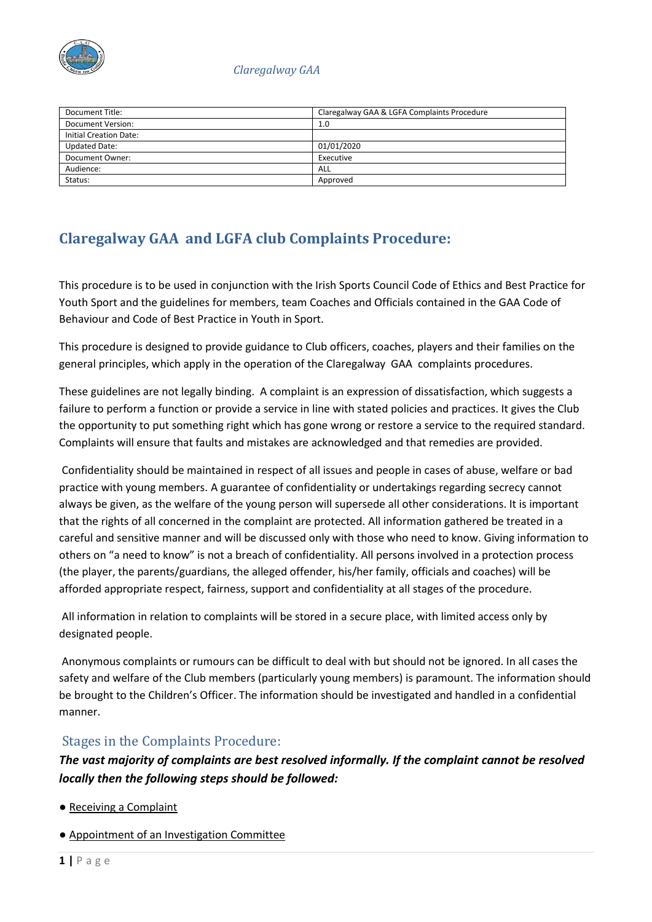

| Document Title:               | Claregalway GAA & LGFA Complaints Procedure |
|-------------------------------|---------------------------------------------|
| Document Version:             | 1.0                                         |
| <b>Initial Creation Date:</b> |                                             |
| <b>Updated Date:</b>          | 01/01/2020                                  |
| Document Owner:               | Executive                                   |
| Audience:                     | ALL                                         |
| Status:                       | Approved                                    |

# **Claregalway GAA and LGFA club Complaints Procedure:**

This procedure is to be used in conjunction with the Irish Sports Council Code of Ethics and Best Practice for Youth Sport and the guidelines for members, team Coaches and Officials contained in the GAA Code of Behaviour and Code of Best Practice in Youth in Sport.

This procedure is designed to provide guidance to Club officers, coaches, players and their families on the general principles, which apply in the operation of the Claregalway GAA complaints procedures.

These guidelines are not legally binding. A complaint is an expression of dissatisfaction, which suggests a failure to perform a function or provide a service in line with stated policies and practices. It gives the Club the opportunity to put something right which has gone wrong or restore a service to the required standard. Complaints will ensure that faults and mistakes are acknowledged and that remedies are provided.

Confidentiality should be maintained in respect of all issues and people in cases of abuse, welfare or bad practice with young members. A guarantee of confidentiality or undertakings regarding secrecy cannot always be given, as the welfare of the young person will supersede all other considerations. It is important that the rights of all concerned in the complaint are protected. All information gathered be treated in a careful and sensitive manner and will be discussed only with those who need to know. Giving information to others on "a need to know" is not a breach of confidentiality. All persons involved in a protection process (the player, the parents/guardians, the alleged offender, his/her family, officials and coaches) will be afforded appropriate respect, fairness, support and confidentiality at all stages of the procedure.

All information in relation to complaints will be stored in a secure place, with limited access only by designated people.

Anonymous complaints or rumours can be difficult to deal with but should not be ignored. In all cases the safety and welfare of the Club members (particularly young members) is paramount. The information should be brought to the Children's Officer. The information should be investigated and handled in a confidential manner.

## Stages in the Complaints Procedure:

*The vast majority of complaints are best resolved informally. If the complaint cannot be resolved locally then the following steps should be followed:* 

- Receiving a Complaint
- Appointment of an Investigation Committee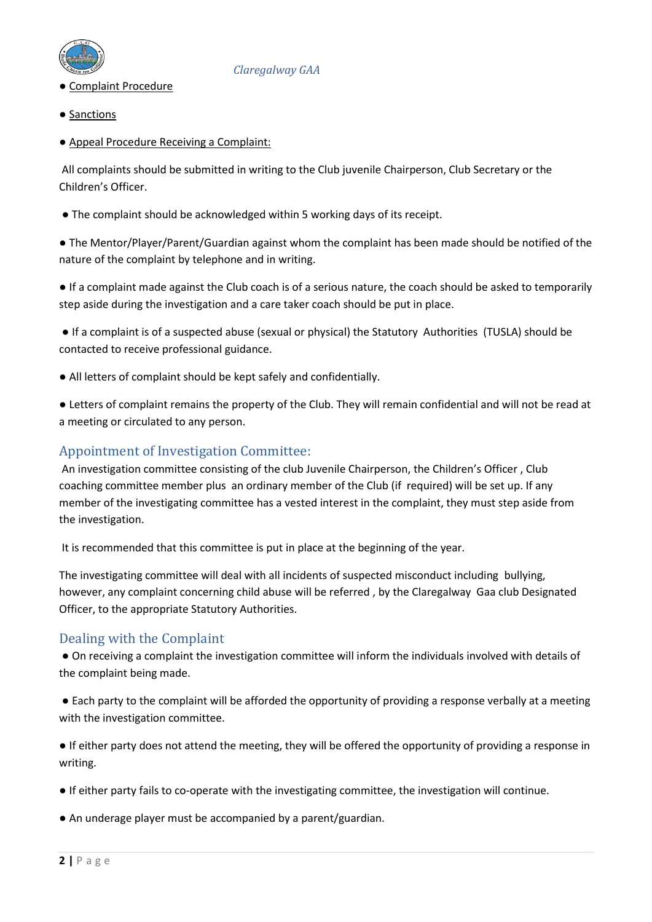

- Complaint Procedure
- Sanctions
- Appeal Procedure Receiving a Complaint:

All complaints should be submitted in writing to the Club juvenile Chairperson, Club Secretary or the Children's Officer.

• The complaint should be acknowledged within 5 working days of its receipt.

● The Mentor/Player/Parent/Guardian against whom the complaint has been made should be notified of the nature of the complaint by telephone and in writing.

● If a complaint made against the Club coach is of a serious nature, the coach should be asked to temporarily step aside during the investigation and a care taker coach should be put in place.

● If a complaint is of a suspected abuse (sexual or physical) the Statutory Authorities (TUSLA) should be contacted to receive professional guidance.

- All letters of complaint should be kept safely and confidentially.
- Letters of complaint remains the property of the Club. They will remain confidential and will not be read at a meeting or circulated to any person.

## Appointment of Investigation Committee:

An investigation committee consisting of the club Juvenile Chairperson, the Children's Officer , Club coaching committee member plus an ordinary member of the Club (if required) will be set up. If any member of the investigating committee has a vested interest in the complaint, they must step aside from the investigation.

It is recommended that this committee is put in place at the beginning of the year.

The investigating committee will deal with all incidents of suspected misconduct including bullying, however, any complaint concerning child abuse will be referred , by the Claregalway Gaa club Designated Officer, to the appropriate Statutory Authorities.

## Dealing with the Complaint

● On receiving a complaint the investigation committee will inform the individuals involved with details of the complaint being made.

● Each party to the complaint will be afforded the opportunity of providing a response verbally at a meeting with the investigation committee.

● If either party does not attend the meeting, they will be offered the opportunity of providing a response in writing.

- If either party fails to co-operate with the investigating committee, the investigation will continue.
- An underage player must be accompanied by a parent/guardian.